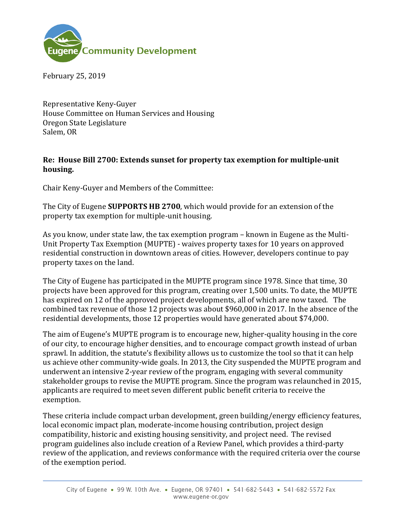

February 25, 2019

Representative Keny-Guyer House Committee on Human Services and Housing Oregon State Legislature Salem, OR

## **Re: House Bill 2700: Extends sunset for property tax exemption for multiple-unit housing.**

Chair Keny-Guyer and Members of the Committee:

The City of Eugene **SUPPORTS HB 2700**, which would provide for an extension of the property tax exemption for multiple-unit housing.

As you know, under state law, the tax exemption program – known in Eugene as the Multi-Unit Property Tax Exemption (MUPTE) - waives property taxes for 10 years on approved residential construction in downtown areas of cities. However, developers continue to pay property taxes on the land.

The City of Eugene has participated in the MUPTE program since 1978. Since that time, 30 projects have been approved for this program, creating over 1,500 units. To date, the MUPTE has expired on 12 of the approved project developments, all of which are now taxed. The combined tax revenue of those 12 projects was about \$960,000 in 2017. In the absence of the residential developments, those 12 properties would have generated about \$74,000.

The aim of Eugene's MUPTE program is to encourage new, higher-quality housing in the core of our city, to encourage higher densities, and to encourage compact growth instead of urban sprawl. In addition, the statute's flexibility allows us to customize the tool so that it can help us achieve other community-wide goals. In 2013, the City suspended the MUPTE program and underwent an intensive 2-year review of the program, engaging with several community stakeholder groups to revise the MUPTE program. Since the program was relaunched in 2015, applicants are required to meet seven different public benefit criteria to receive the exemption.

These criteria include compact urban development, green building/energy efficiency features, local economic impact plan, moderate-income housing contribution, project design compatibility, historic and existing housing sensitivity, and project need. The revised program guidelines also include creation of a Review Panel, which provides a third-party review of the application, and reviews conformance with the required criteria over the course of the exemption period.